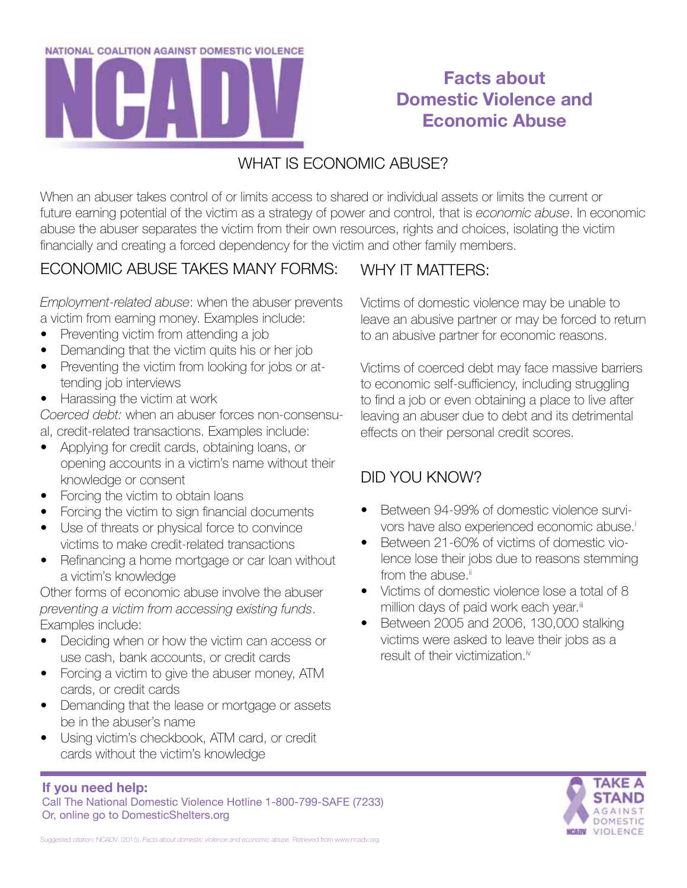

# **Facts about Domestic Violence and Economic Abuse**

#### WHAT IS ECONOMIC ABUSE?

When an abuser takes control of or limits access to shared or individual assets or limits the current or future earning potential of the victim as a strategy of power and control, that is *economic abuse*. In economic abuse the abuser separates the victim from their own resources, rights and choices, isolating the victim financially and creating a forced dependency for the victim and other family members.

#### ECONOMIC ABUSE TAKES MANY FORMS:

*Employment-related abuse*: when the abuser prevents a victim from earning money. Examples include:

- **Preventing victim from attending a job**
- Demanding that the victim quits his or her job
- Preventing the victim from looking for jobs or attending job interviews
- Harassing the victim at work

*Coerced debt:* when an abuser forces non-consensual, credit-related transactions. Examples include:

- Applying for credit cards, obtaining loans, or opening accounts in a victim's name without their knowledge or consent
- Forcing the victim to obtain loans
- Forcing the victim to sign financial documents
- Use of threats or physical force to convince victims to make credit-related transactions
- Refinancing a home mortgage or car loan without a victim's knowledge

Other forms of economic abuse involve the abuser *preventing a victim from accessing existing funds*. Examples include:

- Deciding when or how the victim can access or use cash, bank accounts, or credit cards
- Forcing a victim to give the abuser money, ATM cards, or credit cards
- Demanding that the lease or mortgage or assets be in the abuser's name
- Using victim's checkbook, ATM card, or credit cards without the victim's knowledge

### WHY IT MATTERS:

Victims of domestic violence may be unable to leave an abusive partner or may be forced to return to an abusive partner for economic reasons.

Victims of coerced debt may face massive barriers to economic self-sufficiency, including struggling to find a job or even obtaining a place to live after leaving an abuser due to debt and its detrimental effects on their personal credit scores.

## DID YOU KNOW?

- Between 94-99% of domestic violence survivors have also experienced economic abuse.<sup>i</sup>
- Between 21-60% of victims of domestic violence lose their jobs due to reasons stemming from the abuse. $\mathbb{I}$
- Victims of domestic violence lose a total of 8 million days of paid work each year.iii
- Between 2005 and 2006, 130,000 stalking victims were asked to leave their jobs as a result of their victimization.<sup>iv</sup>



**If you need help:**

Call The National Domestic Violence Hotline 1-800-799-SAFE (7233) Or, online go to DomesticShelters.org

Suggested citation: NCADV. (2015). *Facts about domestic violence and economic abuse*. Retrieved from www.ncadv.org